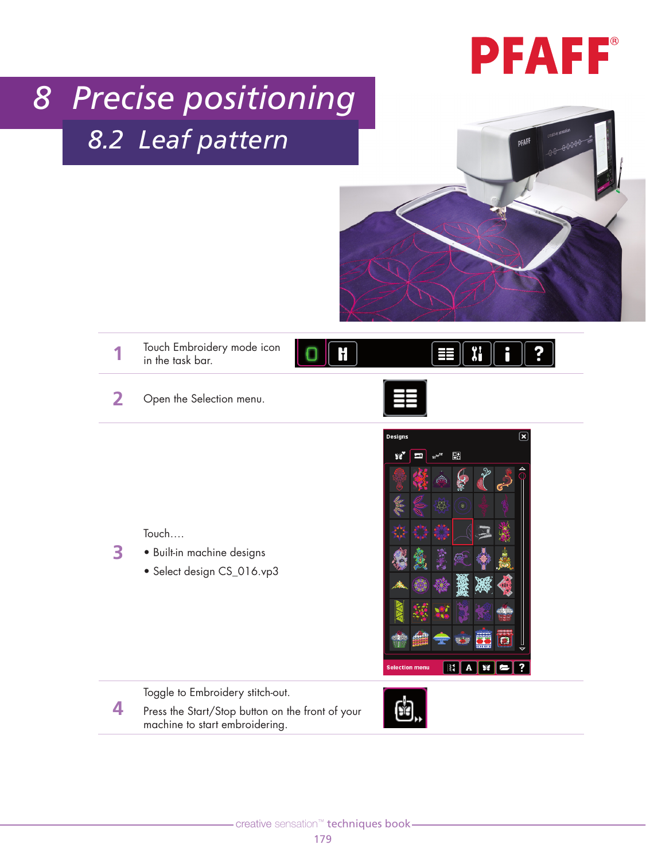## **PFAFF**®

## *8 Precise positioning 8.2 Leaf pattern*



Xi

**1** Touch Embroidery mode icon in the task bar.

**2** Open the Selection menu.





Touch….

**3**

**4**

- Built-in machine designs
	- Select design CS\_016.vp3



Toggle to Embroidery stitch-out.

Press the Start/Stop button on the front of your machine to start embroidering.

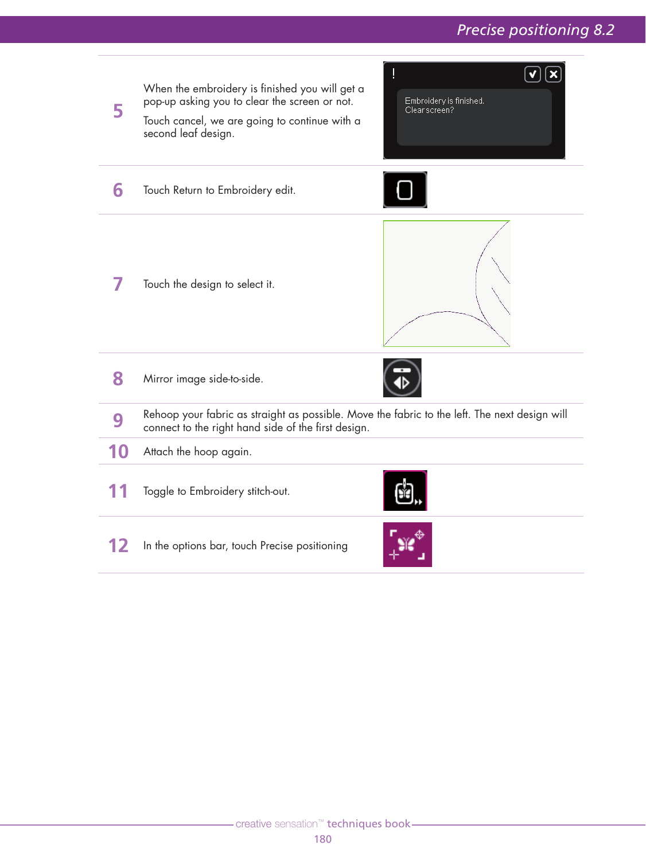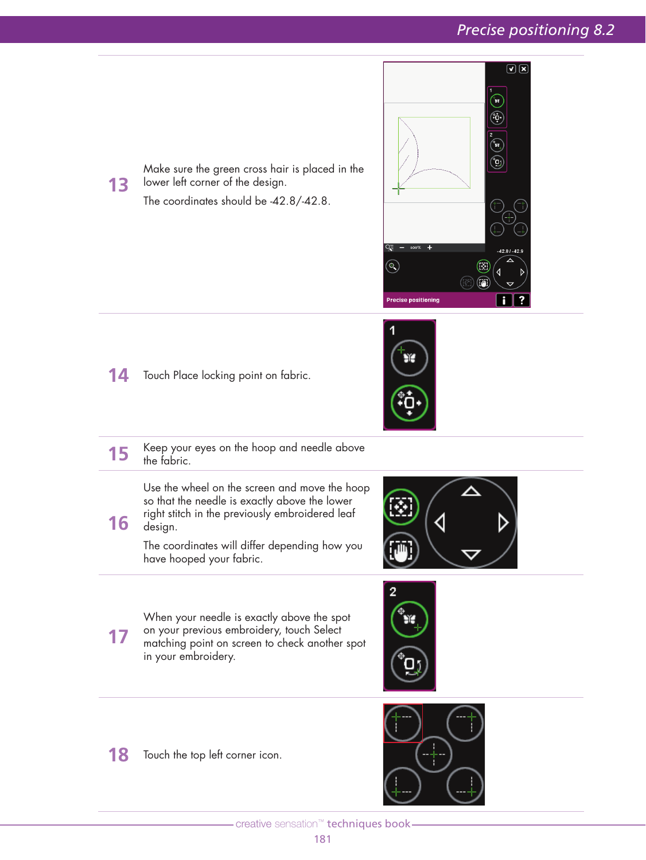

14 Touch Place locking point on fabric.

**13**

**16**



**15** Keep your eyes on the hoop and needle above the fabric. Use the wheel on the screen and move the hoop so that the needle is exactly above the lower right stitch in the previously embroidered leaf

Make sure the green cross hair is placed in the

The coordinates should be -42.8/-42.8.

lower left corner of the design.

design. The coordinates will differ depending how you have hooped your fabric.



**17** When your needle is exactly above the spot on your previous embroidery, touch Select matching point on screen to check another spot in your embroidery.



**18** Touch the top left corner icon.



- creative sensation™ techniques book-